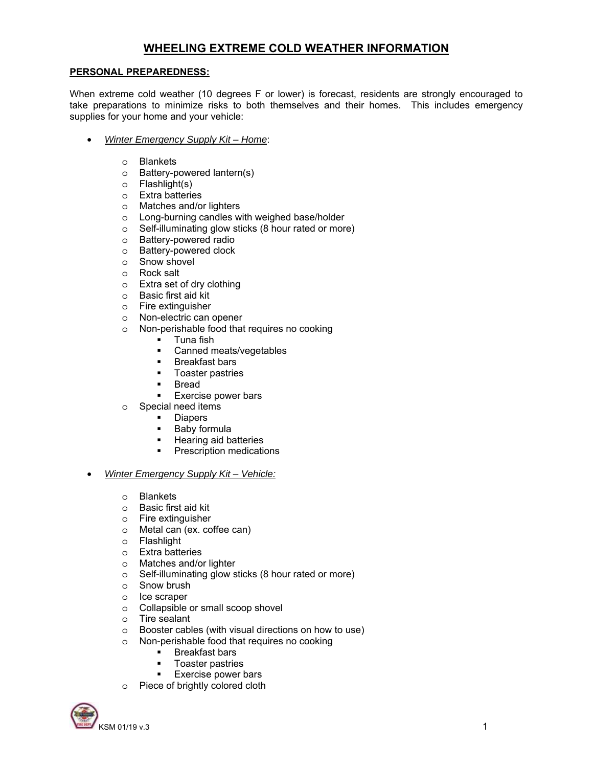# **WHEELING EXTREME COLD WEATHER INFORMATION**

#### **PERSONAL PREPAREDNESS:**

When extreme cold weather (10 degrees F or lower) is forecast, residents are strongly encouraged to take preparations to minimize risks to both themselves and their homes. This includes emergency supplies for your home and your vehicle:

- *Winter Emergency Supply Kit Home*:
	- o Blankets
	- o Battery-powered lantern(s)
	- o Flashlight(s)
	- o Extra batteries
	- o Matches and/or lighters
	- o Long-burning candles with weighed base/holder
	- o Self-illuminating glow sticks (8 hour rated or more)
	- o Battery-powered radio
	- o Battery-powered clock
	- o Snow shovel
	- o Rock salt
	- o Extra set of dry clothing
	- o Basic first aid kit
	- o Fire extinguisher
	- o Non-electric can opener
	- o Non-perishable food that requires no cooking
		- **Tuna fish**
		- **Canned meats/vegetables**
		- **Breakfast bars**
		- **Toaster pastries**
		- **Bread**
		- **Exercise power bars**
	- o Special need items
		- **•** Diapers
		- **Baby formula**
		- **Hearing aid batteries**
		- **•** Prescription medications

#### • *Winter Emergency Supply Kit – Vehicle:*

- o Blankets
- o Basic first aid kit
- o Fire extinguisher
- o Metal can (ex. coffee can)
- o Flashlight
- o Extra batteries
- o Matches and/or lighter
- o Self-illuminating glow sticks (8 hour rated or more)
- o Snow brush
- o Ice scraper
- o Collapsible or small scoop shovel
- o Tire sealant
- o Booster cables (with visual directions on how to use)
- o Non-perishable food that requires no cooking
	- **Breakfast bars**
	- **Toaster pastries**
	- **Exercise power bars**
- o Piece of brightly colored cloth

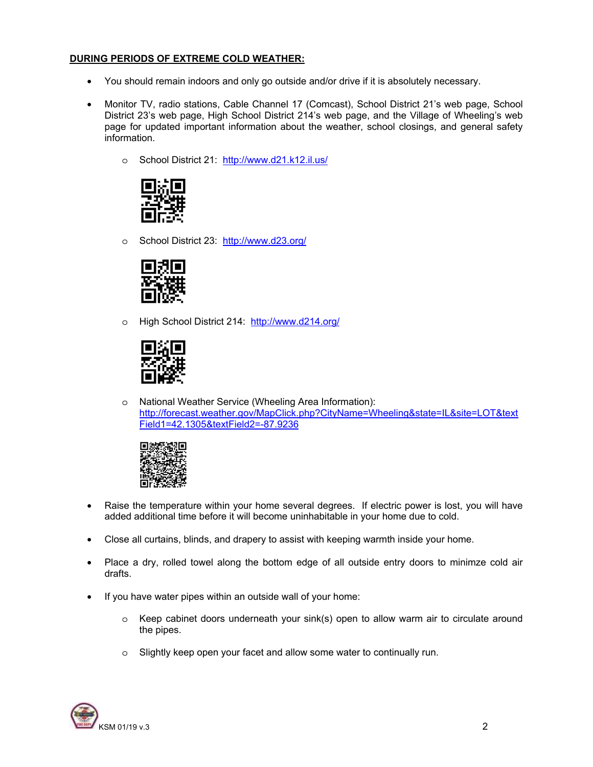### **DURING PERIODS OF EXTREME COLD WEATHER:**

- You should remain indoors and only go outside and/or drive if it is absolutely necessary.
- Monitor TV, radio stations, Cable Channel 17 (Comcast), School District 21's web page, School District 23's web page, High School District 214's web page, and the Village of Wheeling's web page for updated important information about the weather, school closings, and general safety information.
	- o School District 21: http://www.d21.k12.il.us/



o School District 23: http://www.d23.org/



o High School District 214: http://www.d214.org/



o National Weather Service (Wheeling Area Information): http://forecast.weather.gov/MapClick.php?CityName=Wheeling&state=IL&site=LOT&text Field1=42.1305&textField2=-87.9236



- Raise the temperature within your home several degrees. If electric power is lost, you will have added additional time before it will become uninhabitable in your home due to cold.
- Close all curtains, blinds, and drapery to assist with keeping warmth inside your home.
- Place a dry, rolled towel along the bottom edge of all outside entry doors to minimze cold air drafts.
- If you have water pipes within an outside wall of your home:
	- o Keep cabinet doors underneath your sink(s) open to allow warm air to circulate around the pipes.
	- o Slightly keep open your facet and allow some water to continually run.

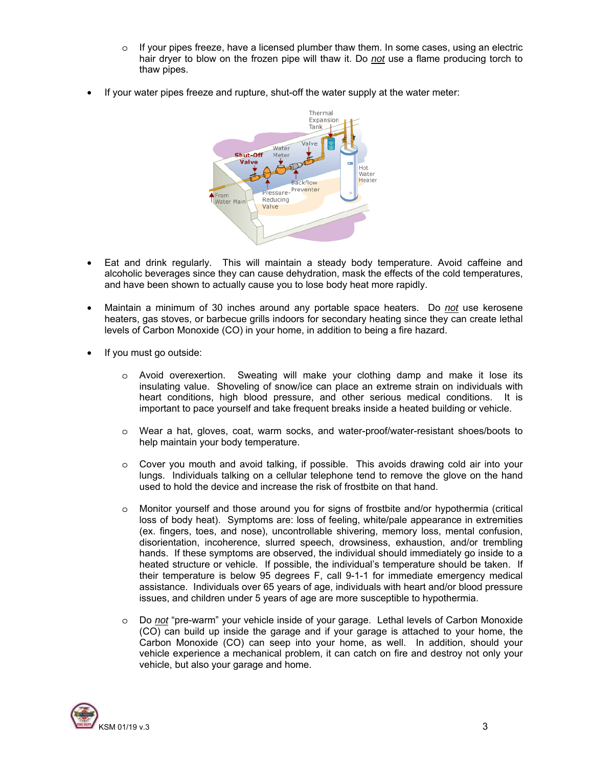- $\circ$  If your pipes freeze, have a licensed plumber thaw them. In some cases, using an electric hair dryer to blow on the frozen pipe will thaw it. Do *not* use a flame producing torch to thaw pipes.
- If your water pipes freeze and rupture, shut-off the water supply at the water meter:



- Eat and drink regularly. This will maintain a steady body temperature. Avoid caffeine and alcoholic beverages since they can cause dehydration, mask the effects of the cold temperatures, and have been shown to actually cause you to lose body heat more rapidly.
- Maintain a minimum of 30 inches around any portable space heaters. Do *not* use kerosene heaters, gas stoves, or barbecue grills indoors for secondary heating since they can create lethal levels of Carbon Monoxide (CO) in your home, in addition to being a fire hazard.
- If you must go outside:
	- o Avoid overexertion. Sweating will make your clothing damp and make it lose its insulating value. Shoveling of snow/ice can place an extreme strain on individuals with heart conditions, high blood pressure, and other serious medical conditions. It is important to pace yourself and take frequent breaks inside a heated building or vehicle.
	- o Wear a hat, gloves, coat, warm socks, and water-proof/water-resistant shoes/boots to help maintain your body temperature.
	- o Cover you mouth and avoid talking, if possible. This avoids drawing cold air into your lungs. Individuals talking on a cellular telephone tend to remove the glove on the hand used to hold the device and increase the risk of frostbite on that hand.
	- o Monitor yourself and those around you for signs of frostbite and/or hypothermia (critical loss of body heat). Symptoms are: loss of feeling, white/pale appearance in extremities (ex. fingers, toes, and nose), uncontrollable shivering, memory loss, mental confusion, disorientation, incoherence, slurred speech, drowsiness, exhaustion, and/or trembling hands. If these symptoms are observed, the individual should immediately go inside to a heated structure or vehicle. If possible, the individual's temperature should be taken. If their temperature is below 95 degrees F, call 9-1-1 for immediate emergency medical assistance. Individuals over 65 years of age, individuals with heart and/or blood pressure issues, and children under 5 years of age are more susceptible to hypothermia.
	- o Do *not* "pre-warm" your vehicle inside of your garage. Lethal levels of Carbon Monoxide (CO) can build up inside the garage and if your garage is attached to your home, the Carbon Monoxide (CO) can seep into your home, as well. In addition, should your vehicle experience a mechanical problem, it can catch on fire and destroy not only your vehicle, but also your garage and home.

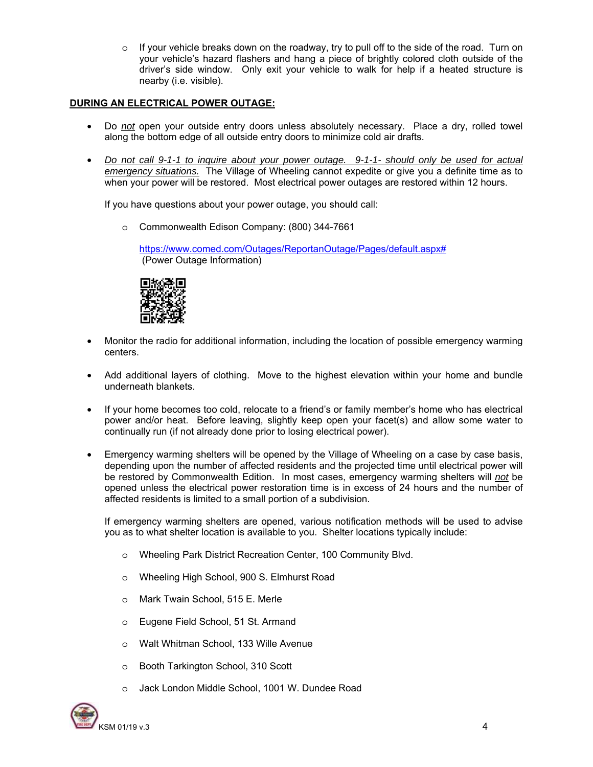o If your vehicle breaks down on the roadway, try to pull off to the side of the road. Turn on your vehicle's hazard flashers and hang a piece of brightly colored cloth outside of the driver's side window. Only exit your vehicle to walk for help if a heated structure is nearby (i.e. visible).

### **DURING AN ELECTRICAL POWER OUTAGE:**

- Do *not* open your outside entry doors unless absolutely necessary. Place a dry, rolled towel along the bottom edge of all outside entry doors to minimize cold air drafts.
- *Do not call 9-1-1 to inquire about your power outage. 9-1-1- should only be used for actual emergency situations.* The Village of Wheeling cannot expedite or give you a definite time as to when your power will be restored. Most electrical power outages are restored within 12 hours.

If you have questions about your power outage, you should call:

o Commonwealth Edison Company: (800) 344-7661

https://www.comed.com/Outages/ReportanOutage/Pages/default.aspx# (Power Outage Information)



- Monitor the radio for additional information, including the location of possible emergency warming centers.
- Add additional layers of clothing. Move to the highest elevation within your home and bundle underneath blankets.
- If your home becomes too cold, relocate to a friend's or family member's home who has electrical power and/or heat. Before leaving, slightly keep open your facet(s) and allow some water to continually run (if not already done prior to losing electrical power).
- Emergency warming shelters will be opened by the Village of Wheeling on a case by case basis, depending upon the number of affected residents and the projected time until electrical power will be restored by Commonwealth Edition. In most cases, emergency warming shelters will *not* be opened unless the electrical power restoration time is in excess of 24 hours and the number of affected residents is limited to a small portion of a subdivision.

If emergency warming shelters are opened, various notification methods will be used to advise you as to what shelter location is available to you. Shelter locations typically include:

- o Wheeling Park District Recreation Center, 100 Community Blvd.
- o Wheeling High School, 900 S. Elmhurst Road
- o Mark Twain School, 515 E. Merle
- o Eugene Field School, 51 St. Armand
- o Walt Whitman School, 133 Wille Avenue
- o Booth Tarkington School, 310 Scott
- o Jack London Middle School, 1001 W. Dundee Road